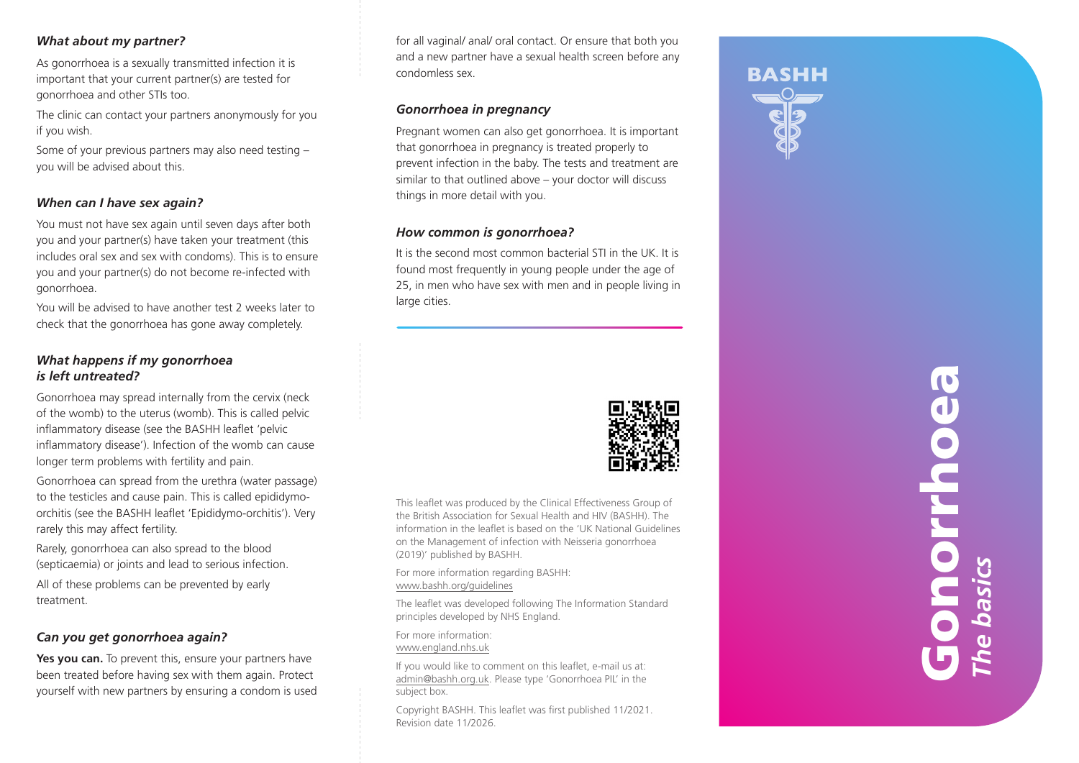#### *What about my partner?*

As gonorrhoea is a sexually transmitted infection it is important that your current partner(s) are tested for gonorrhoea and other STIs too.

The clinic can contact your partners anonymously for you if you wish.

Some of your previous partners may also need testing – you will be advised about this.

## *When can I have sex again?*

You must not have sex again until seven days after both you and your partner(s) have taken your treatment (this includes oral sex and sex with condoms). This is to ensure you and your partner(s) do not become re-infected with gonorrhoea.

You will be advised to have another test 2 weeks later to check that the gonorrhoea has gone away completely.

## *What happens if my gonorrhoea is left untreated?*

Gonorrhoea may spread internally from the cervix (neck of the womb) to the uterus (womb). This is called pelvic inflammatory disease (see the BASHH leaflet 'pelvic inflammatory disease'). Infection of the womb can cause longer term problems with fertility and pain.

Gonorrhoea can spread from the urethra (water passage) to the testicles and cause pain. This is called epididymoorchitis (see the BASHH leaflet 'Epididymo-orchitis'). Very rarely this may affect fertility.

Rarely, gonorrhoea can also spread to the blood (septicaemia) or joints and lead to serious infection.

All of these problems can be prevented by early treatment.

## *Can you get gonorrhoea again?*

Yes you can. To prevent this, ensure your partners have been treated before having sex with them again. Protect yourself with new partners by ensuring a condom is used for all vaginal/ anal/ oral contact. Or ensure that both you and a new partner have a sexual health screen before any condomless sex.

#### *Gonorrhoea in pregnancy*

Pregnant women can also get gonorrhoea. It is important that gonorrhoea in pregnancy is treated properly to prevent infection in the baby. The tests and treatment are similar to that outlined above – your doctor will discuss things in more detail with you.

### *How common is gonorrhoea?*

It is the second most common bacterial STI in the UK. It is found most frequently in young people under the age of 25, in men who have sex with men and in people living in large cities.



This leaflet was produced by the Clinical Effectiveness Group of the British Association for Sexual Health and HIV (BASHH). The information in the leaflet is based on the 'UK National Guidelines on the Management of infection with Neisseria gonorrhoea (2019)' published by BASHH.

For more information regarding BASHH: www.bashh.org/guidelines

The leaflet was developed following The Information Standard principles developed by NHS England.

For more information: www.england.nhs.uk

If you would like to comment on this leaflet, e-mail us at: admin@bashh.org.uk. Please type 'Gonorrhoea PIL' in the subject box.

Copyright BASHH. This leaflet was first published 11/2021. Revision date 11/2026.





Gonorrhoea  $\bullet$  $\bullet$ *The basics* e basi